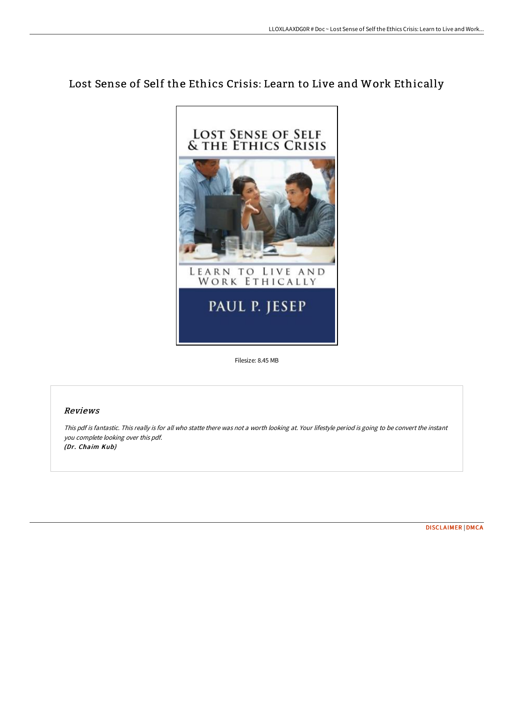## Lost Sense of Self the Ethics Crisis: Learn to Live and Work Ethically



Filesize: 8.45 MB

## Reviews

This pdf is fantastic. This really is for all who statte there was not <sup>a</sup> worth looking at. Your lifestyle period is going to be convert the instant you complete looking over this pdf. (Dr. Chaim Kub)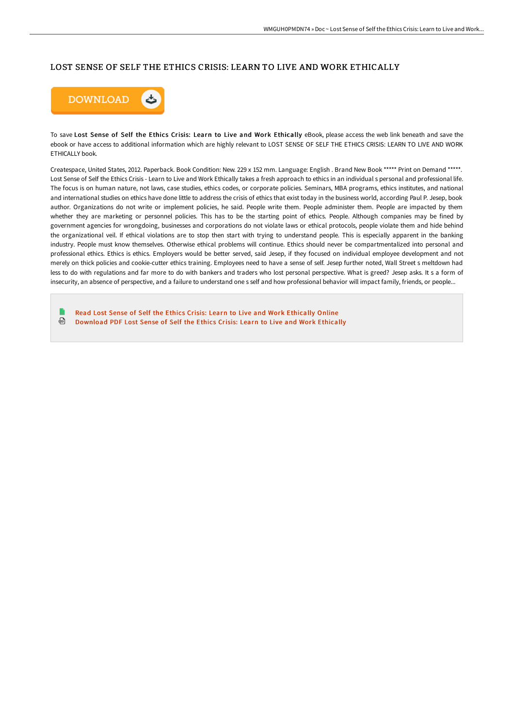## LOST SENSE OF SELF THE ETHICS CRISIS: LEARN TO LIVE AND WORK ETHICALLY



To save Lost Sense of Self the Ethics Crisis: Learn to Live and Work Ethically eBook, please access the web link beneath and save the ebook or have access to additional information which are highly relevant to LOST SENSE OF SELF THE ETHICS CRISIS: LEARN TO LIVE AND WORK ETHICALLY book.

Createspace, United States, 2012. Paperback. Book Condition: New. 229 x 152 mm. Language: English . Brand New Book \*\*\*\*\* Print on Demand \*\*\*\*\*. Lost Sense of Self the Ethics Crisis - Learn to Live and Work Ethically takes a fresh approach to ethics in an individual s personal and professional life. The focus is on human nature, not laws, case studies, ethics codes, or corporate policies. Seminars, MBA programs, ethics institutes, and national and international studies on ethics have done little to address the crisis of ethics that exist today in the business world, according Paul P. Jesep, book author. Organizations do not write or implement policies, he said. People write them. People administer them. People are impacted by them whether they are marketing or personnel policies. This has to be the starting point of ethics. People. Although companies may be fined by government agencies for wrongdoing, businesses and corporations do not violate laws or ethical protocols, people violate them and hide behind the organizational veil. If ethical violations are to stop then start with trying to understand people. This is especially apparent in the banking industry. People must know themselves. Otherwise ethical problems will continue. Ethics should never be compartmentalized into personal and professional ethics. Ethics is ethics. Employers would be better served, said Jesep, if they focused on individual employee development and not merely on thick policies and cookie-cutter ethics training. Employees need to have a sense of self. Jesep further noted, Wall Street s meltdown had less to do with regulations and far more to do with bankers and traders who lost personal perspective. What is greed? Jesep asks. It s a form of insecurity, an absence of perspective, and a failure to understand one s self and how professional behavior will impact family, friends, or people...

Read Lost Sense of Self the Ethics Crisis: Learn to Live and Work [Ethically](http://techno-pub.tech/lost-sense-of-self-the-ethics-crisis-learn-to-li.html) Online ଈ [Download](http://techno-pub.tech/lost-sense-of-self-the-ethics-crisis-learn-to-li.html) PDF Lost Sense of Self the Ethics Crisis: Learn to Live and Work Ethically